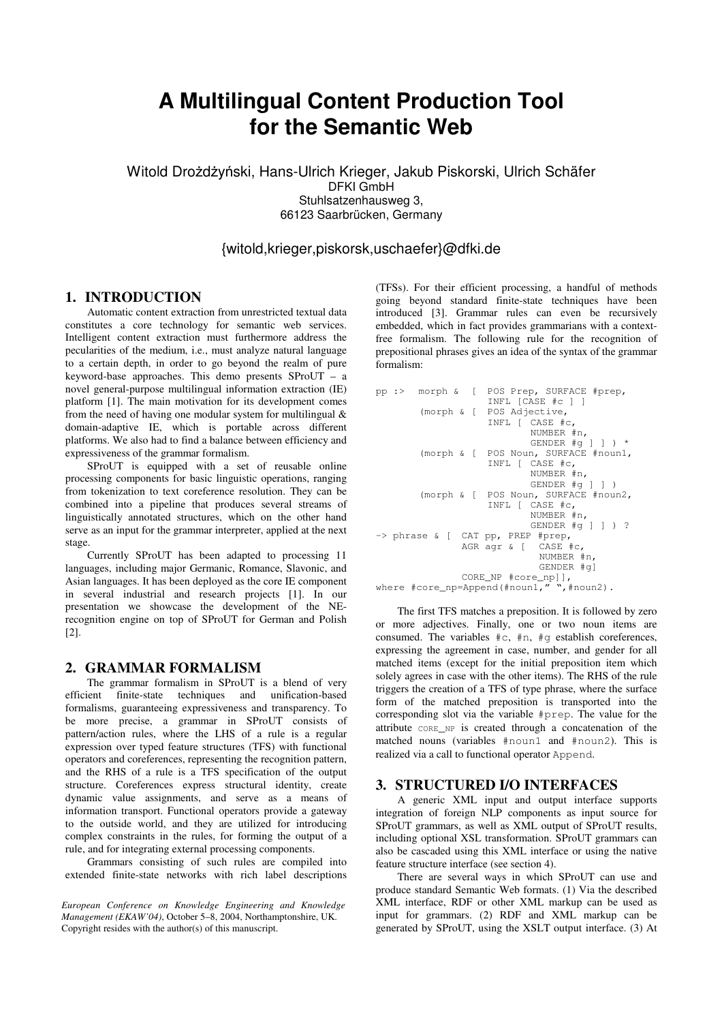# **A Multilingual Content Production Tool for the Semantic Web**

Witold Drożdżyński, Hans-Ulrich Krieger, Jakub Piskorski, Ulrich Schäfer DFKI GmbH Stuhlsatzenhausweg 3, 66123 Saarbrücken, Germany

# {witold,krieger,piskorsk,uschaefer}@dfki.de

# **1. INTRODUCTION**

Automatic content extraction from unrestricted textual data constitutes a core technology for semantic web services. Intelligent content extraction must furthermore address the pecularities of the medium, i.e., must analyze natural language to a certain depth, in order to go beyond the realm of pure keyword-base approaches. This demo presents SProUT – a novel general-purpose multilingual information extraction (IE) platform [1]. The main motivation for its development comes from the need of having one modular system for multilingual  $\&$ domain-adaptive IE, which is portable across different platforms. We also had to find a balance between efficiency and expressiveness of the grammar formalism.

SProUT is equipped with a set of reusable online processing components for basic linguistic operations, ranging from tokenization to text coreference resolution. They can be combined into a pipeline that produces several streams of linguistically annotated structures, which on the other hand serve as an input for the grammar interpreter, applied at the next stage.

Currently SProUT has been adapted to processing 11 languages, including major Germanic, Romance, Slavonic, and Asian languages. It has been deployed as the core IE component in several industrial and research projects [1]. In our presentation we showcase the development of the NErecognition engine on top of SProUT for German and Polish [2].

#### **2. GRAMMAR FORMALISM**

The grammar formalism in SProUT is a blend of very efficient finite-state techniques and unification-based formalisms, guaranteeing expressiveness and transparency. To be more precise, a grammar in SProUT consists of pattern/action rules, where the LHS of a rule is a regular expression over typed feature structures (TFS) with functional operators and coreferences, representing the recognition pattern, and the RHS of a rule is a TFS specification of the output structure. Coreferences express structural identity, create dynamic value assignments, and serve as a means of information transport. Functional operators provide a gateway to the outside world, and they are utilized for introducing complex constraints in the rules, for forming the output of a rule, and for integrating external processing components.

Grammars consisting of such rules are compiled into extended finite-state networks with rich label descriptions

*European Conference on Knowledge Engineering and Knowledge Management (EKAW'04)*, October 5–8, 2004, Northamptonshire, UK. Copyright resides with the author(s) of this manuscript.

(TFSs). For their efficient processing, a handful of methods going beyond standard finite-state techniques have been introduced [3]. Grammar rules can even be recursively embedded, which in fact provides grammarians with a contextfree formalism. The following rule for the recognition of prepositional phrases gives an idea of the syntax of the grammar formalism:

```
pp :> morph & [ POS Prep, SURFACE #prep,
                   INFL [CASE #c ] ]
       (morph & [ POS Adjective,
                   INFL [ CASE #c,
                           NUMBER #n,
                           GENDER #g ] ] ) *
       (morph & [ POS Noun, SURFACE #noun1,
                   INFL [ CASE #c,
                           NUMBER #n,
                           GENDER #g ] ] )
       (morph & [ POS Noun, SURFACE #noun2,
                   INFL [ CASE #c,
                           NUMBER #n,
                           GENDER #g ] ] ) ?
-> phrase & [ CAT pp, PREP #prep,
               AGR agr & [ CASE #c,
                            NUMBER #n,
                            GENDER #g]
               CORE_NP #core_np]],
where #core_np=Append(#noun1," ",#noun2).
```
The first TFS matches a preposition. It is followed by zero or more adjectives. Finally, one or two noun items are consumed. The variables  $\#c$ ,  $\#n$ ,  $\#q$  establish coreferences, expressing the agreement in case, number, and gender for all matched items (except for the initial preposition item which solely agrees in case with the other items). The RHS of the rule triggers the creation of a TFS of type phrase, where the surface form of the matched preposition is transported into the corresponding slot via the variable #prep. The value for the attribute CORE\_NP is created through a concatenation of the matched nouns (variables #noun1 and #noun2). This is realized via a call to functional operator Append.

#### **3. STRUCTURED I/O INTERFACES**

A generic XML input and output interface supports integration of foreign NLP components as input source for SProUT grammars, as well as XML output of SProUT results, including optional XSL transformation. SProUT grammars can also be cascaded using this XML interface or using the native feature structure interface (see section 4).

There are several ways in which SProUT can use and produce standard Semantic Web formats. (1) Via the described XML interface, RDF or other XML markup can be used as input for grammars. (2) RDF and XML markup can be generated by SProUT, using the XSLT output interface. (3) At